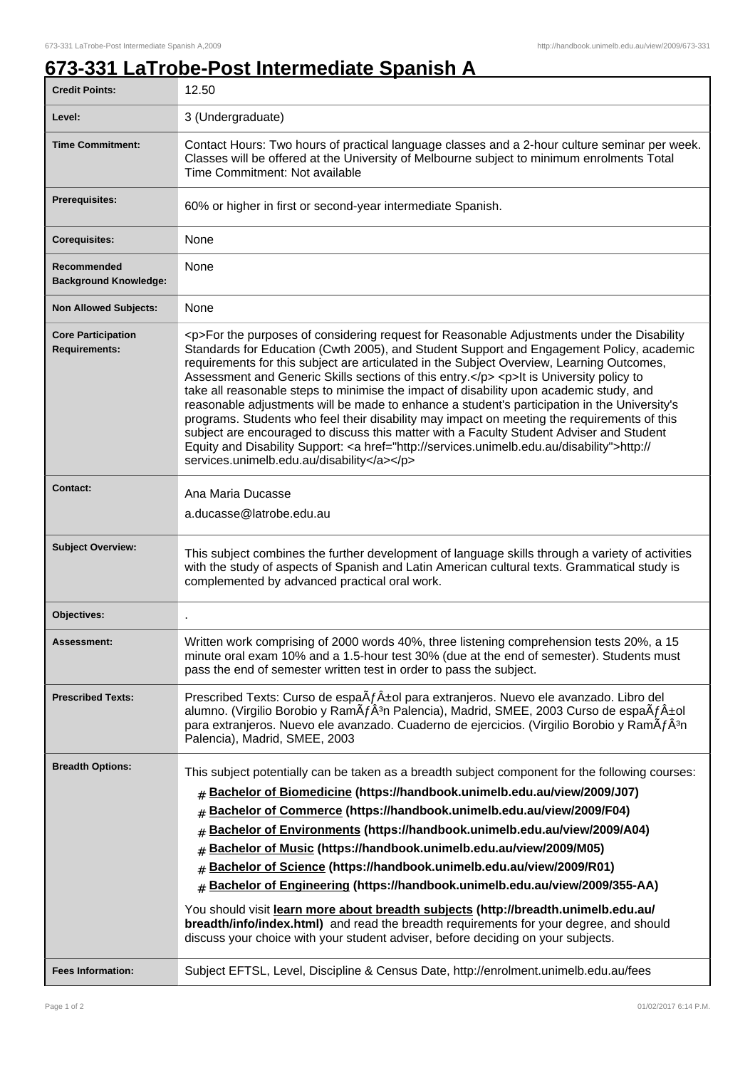## **673-331 LaTrobe-Post Intermediate Spanish A**

| <b>Credit Points:</b>                             | 12.50                                                                                                                                                                                                                                                                                                                                                                                                                                                                                                                                                                                                                                                                                                                                                                                                                                                                                                                        |
|---------------------------------------------------|------------------------------------------------------------------------------------------------------------------------------------------------------------------------------------------------------------------------------------------------------------------------------------------------------------------------------------------------------------------------------------------------------------------------------------------------------------------------------------------------------------------------------------------------------------------------------------------------------------------------------------------------------------------------------------------------------------------------------------------------------------------------------------------------------------------------------------------------------------------------------------------------------------------------------|
| Level:                                            | 3 (Undergraduate)                                                                                                                                                                                                                                                                                                                                                                                                                                                                                                                                                                                                                                                                                                                                                                                                                                                                                                            |
| <b>Time Commitment:</b>                           | Contact Hours: Two hours of practical language classes and a 2-hour culture seminar per week.<br>Classes will be offered at the University of Melbourne subject to minimum enrolments Total<br>Time Commitment: Not available                                                                                                                                                                                                                                                                                                                                                                                                                                                                                                                                                                                                                                                                                                |
| Prerequisites:                                    | 60% or higher in first or second-year intermediate Spanish.                                                                                                                                                                                                                                                                                                                                                                                                                                                                                                                                                                                                                                                                                                                                                                                                                                                                  |
| <b>Corequisites:</b>                              | None                                                                                                                                                                                                                                                                                                                                                                                                                                                                                                                                                                                                                                                                                                                                                                                                                                                                                                                         |
| Recommended<br><b>Background Knowledge:</b>       | None                                                                                                                                                                                                                                                                                                                                                                                                                                                                                                                                                                                                                                                                                                                                                                                                                                                                                                                         |
| <b>Non Allowed Subjects:</b>                      | None                                                                                                                                                                                                                                                                                                                                                                                                                                                                                                                                                                                                                                                                                                                                                                                                                                                                                                                         |
| <b>Core Participation</b><br><b>Requirements:</b> | <p>For the purposes of considering request for Reasonable Adjustments under the Disability<br/>Standards for Education (Cwth 2005), and Student Support and Engagement Policy, academic<br/>requirements for this subject are articulated in the Subject Overview, Learning Outcomes,<br/>Assessment and Generic Skills sections of this entry.</p> <p>lt is University policy to<br/>take all reasonable steps to minimise the impact of disability upon academic study, and<br/>reasonable adjustments will be made to enhance a student's participation in the University's<br/>programs. Students who feel their disability may impact on meeting the requirements of this<br/>subject are encouraged to discuss this matter with a Faculty Student Adviser and Student<br/>Equity and Disability Support: &lt; a href="http://services.unimelb.edu.au/disability"&gt;http://<br/>services.unimelb.edu.au/disability</p> |
| <b>Contact:</b>                                   | Ana Maria Ducasse                                                                                                                                                                                                                                                                                                                                                                                                                                                                                                                                                                                                                                                                                                                                                                                                                                                                                                            |
|                                                   | a.ducasse@latrobe.edu.au                                                                                                                                                                                                                                                                                                                                                                                                                                                                                                                                                                                                                                                                                                                                                                                                                                                                                                     |
| <b>Subject Overview:</b>                          | This subject combines the further development of language skills through a variety of activities<br>with the study of aspects of Spanish and Latin American cultural texts. Grammatical study is<br>complemented by advanced practical oral work.                                                                                                                                                                                                                                                                                                                                                                                                                                                                                                                                                                                                                                                                            |
| Objectives:                                       |                                                                                                                                                                                                                                                                                                                                                                                                                                                                                                                                                                                                                                                                                                                                                                                                                                                                                                                              |
| <b>Assessment:</b>                                | Written work comprising of 2000 words 40%, three listening comprehension tests 20%, a 15<br>minute oral exam 10% and a 1.5-hour test 30% (due at the end of semester). Students must<br>pass the end of semester written test in order to pass the subject.                                                                                                                                                                                                                                                                                                                                                                                                                                                                                                                                                                                                                                                                  |
| <b>Prescribed Texts:</b>                          | Prescribed Texts: Curso de espa $\tilde{A}f\hat{A}$ ±ol para extranjeros. Nuevo ele avanzado. Libro del<br>alumno. (Virgilio Borobio y RamÂfÂ <sup>3</sup> n Palencia), Madrid, SMEE, 2003 Curso de espaÂf±ol<br>para extranjeros. Nuevo ele avanzado. Cuaderno de ejercicios. (Virgilio Borobio y RamÃfÂ3n<br>Palencia), Madrid, SMEE, 2003                                                                                                                                                                                                                                                                                                                                                                                                                                                                                                                                                                                 |
| <b>Breadth Options:</b>                           | This subject potentially can be taken as a breadth subject component for the following courses:<br>Bachelor of Biomedicine (https://handbook.unimelb.edu.au/view/2009/J07)<br>#<br>Bachelor of Commerce (https://handbook.unimelb.edu.au/view/2009/F04)<br>#<br>Bachelor of Environments (https://handbook.unimelb.edu.au/view/2009/A04)<br>#<br>Bachelor of Music (https://handbook.unimelb.edu.au/view/2009/M05)<br>#<br>Bachelor of Science (https://handbook.unimelb.edu.au/view/2009/R01)<br>#<br>Bachelor of Engineering (https://handbook.unimelb.edu.au/view/2009/355-AA)<br>#<br>You should visit learn more about breadth subjects (http://breadth.unimelb.edu.au/<br>breadth/info/index.html) and read the breadth requirements for your degree, and should<br>discuss your choice with your student adviser, before deciding on your subjects.                                                                   |
| <b>Fees Information:</b>                          | Subject EFTSL, Level, Discipline & Census Date, http://enrolment.unimelb.edu.au/fees                                                                                                                                                                                                                                                                                                                                                                                                                                                                                                                                                                                                                                                                                                                                                                                                                                         |